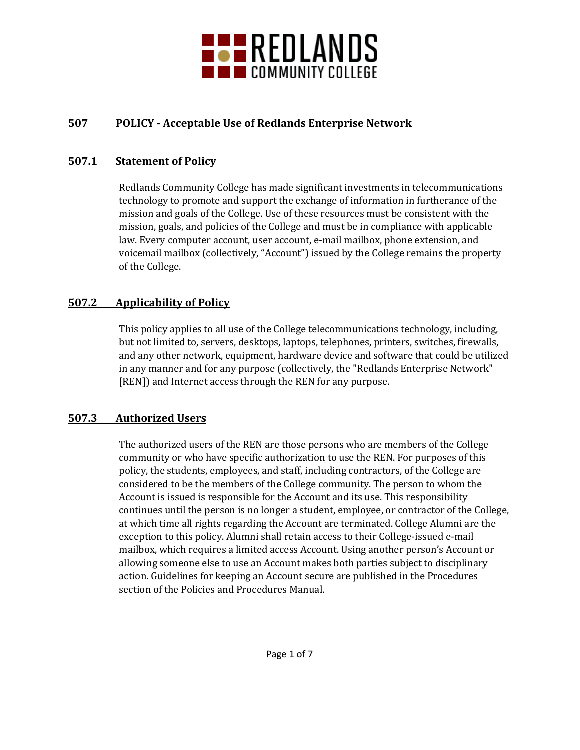

# **507 POLICY - Acceptable Use of Redlands Enterprise Network**

#### **507.1 Statement of Policy**

Redlands Community College has made significant investments in telecommunications technology to promote and support the exchange of information in furtherance of the mission and goals of the College. Use of these resources must be consistent with the mission, goals, and policies of the College and must be in compliance with applicable law. Every computer account, user account, e-mail mailbox, phone extension, and voicemail mailbox (collectively, "Account") issued by the College remains the property of the College.

### **507.2 Applicability of Policy**

This policy applies to all use of the College telecommunications technology, including, but not limited to, servers, desktops, laptops, telephones, printers, switches, firewalls, and any other network, equipment, hardware device and software that could be utilized in any manner and for any purpose (collectively, the "Redlands Enterprise Network" [REN]) and Internet access through the REN for any purpose.

#### **507.3 Authorized Users**

The authorized users of the REN are those persons who are members of the College community or who have specific authorization to use the REN. For purposes of this policy, the students, employees, and staff, including contractors, of the College are considered to be the members of the College community. The person to whom the Account is issued is responsible for the Account and its use. This responsibility continues until the person is no longer a student, employee, or contractor of the College, at which time all rights regarding the Account are terminated. College Alumni are the exception to this policy. Alumni shall retain access to their College-issued e-mail mailbox, which requires a limited access Account. Using another person's Account or allowing someone else to use an Account makes both parties subject to disciplinary action. Guidelines for keeping an Account secure are published in the Procedures section of the Policies and Procedures Manual.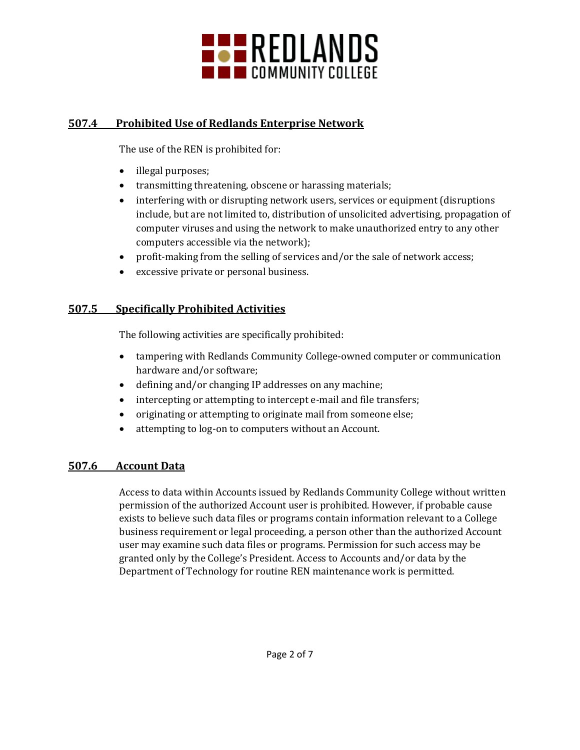

## **507.4 Prohibited Use of Redlands Enterprise Network**

The use of the REN is prohibited for:

- illegal purposes;
- transmitting threatening, obscene or harassing materials;
- interfering with or disrupting network users, services or equipment (disruptions include, but are not limited to, distribution of unsolicited advertising, propagation of computer viruses and using the network to make unauthorized entry to any other computers accessible via the network);
- profit-making from the selling of services and/or the sale of network access;
- excessive private or personal business.

# **507.5 Specifically Prohibited Activities**

The following activities are specifically prohibited:

- tampering with Redlands Community College-owned computer or communication hardware and/or software;
- defining and/or changing IP addresses on any machine;
- intercepting or attempting to intercept e-mail and file transfers;
- originating or attempting to originate mail from someone else;
- attempting to log-on to computers without an Account.

# **507.6 Account Data**

Access to data within Accounts issued by Redlands Community College without written permission of the authorized Account user is prohibited. However, if probable cause exists to believe such data files or programs contain information relevant to a College business requirement or legal proceeding, a person other than the authorized Account user may examine such data files or programs. Permission for such access may be granted only by the College's President. Access to Accounts and/or data by the Department of Technology for routine REN maintenance work is permitted.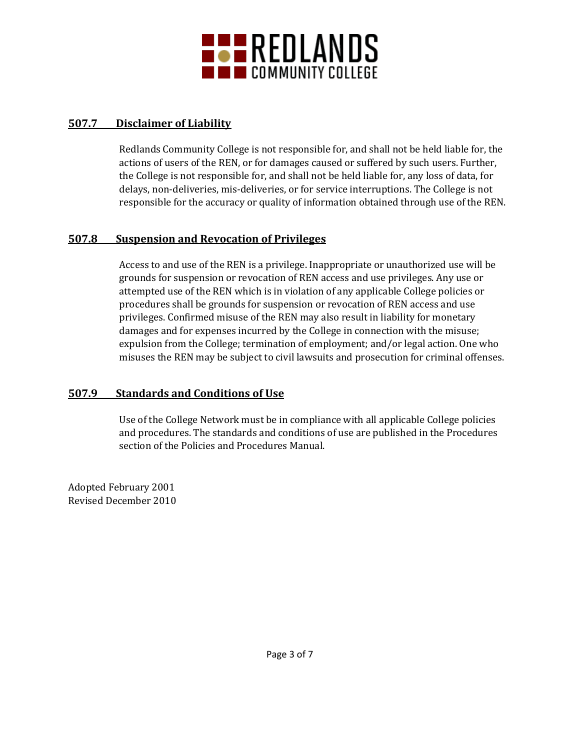

### **507.7 Disclaimer of Liability**

Redlands Community College is not responsible for, and shall not be held liable for, the actions of users of the REN, or for damages caused or suffered by such users. Further, the College is not responsible for, and shall not be held liable for, any loss of data, for delays, non-deliveries, mis-deliveries, or for service interruptions. The College is not responsible for the accuracy or quality of information obtained through use of the REN.

### **507.8 Suspension and Revocation of Privileges**

Access to and use of the REN is a privilege. Inappropriate or unauthorized use will be grounds for suspension or revocation of REN access and use privileges. Any use or attempted use of the REN which is in violation of any applicable College policies or procedures shall be grounds for suspension or revocation of REN access and use privileges. Confirmed misuse of the REN may also result in liability for monetary damages and for expenses incurred by the College in connection with the misuse; expulsion from the College; termination of employment; and/or legal action. One who misuses the REN may be subject to civil lawsuits and prosecution for criminal offenses.

# **507.9 Standards and Conditions of Use**

Use of the College Network must be in compliance with all applicable College policies and procedures. The standards and conditions of use are published in the Procedures section of the Policies and Procedures Manual.

Adopted February 2001 Revised December 2010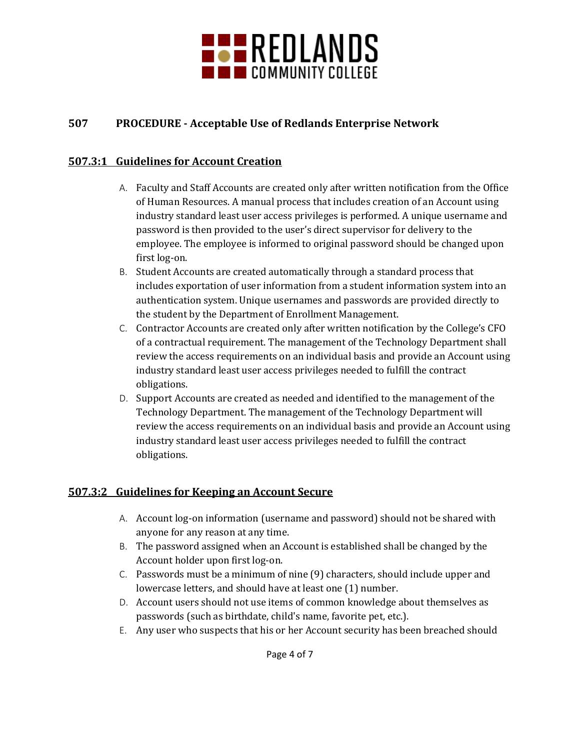

# **507 PROCEDURE - Acceptable Use of Redlands Enterprise Network**

### **507.3:1 Guidelines for Account Creation**

- A. Faculty and Staff Accounts are created only after written notification from the Office of Human Resources. A manual process that includes creation of an Account using industry standard least user access privileges is performed. A unique username and password is then provided to the user's direct supervisor for delivery to the employee. The employee is informed to original password should be changed upon first log-on.
- B. Student Accounts are created automatically through a standard process that includes exportation of user information from a student information system into an authentication system. Unique usernames and passwords are provided directly to the student by the Department of Enrollment Management.
- C. Contractor Accounts are created only after written notification by the College's CFO of a contractual requirement. The management of the Technology Department shall review the access requirements on an individual basis and provide an Account using industry standard least user access privileges needed to fulfill the contract obligations.
- D. Support Accounts are created as needed and identified to the management of the Technology Department. The management of the Technology Department will review the access requirements on an individual basis and provide an Account using industry standard least user access privileges needed to fulfill the contract obligations.

### **507.3:2 Guidelines for Keeping an Account Secure**

- A. Account log-on information (username and password) should not be shared with anyone for any reason at any time.
- B. The password assigned when an Account is established shall be changed by the Account holder upon first log-on.
- C. Passwords must be a minimum of nine (9) characters, should include upper and lowercase letters, and should have at least one (1) number.
- D. Account users should not use items of common knowledge about themselves as passwords (such as birthdate, child's name, favorite pet, etc.).
- E. Any user who suspects that his or her Account security has been breached should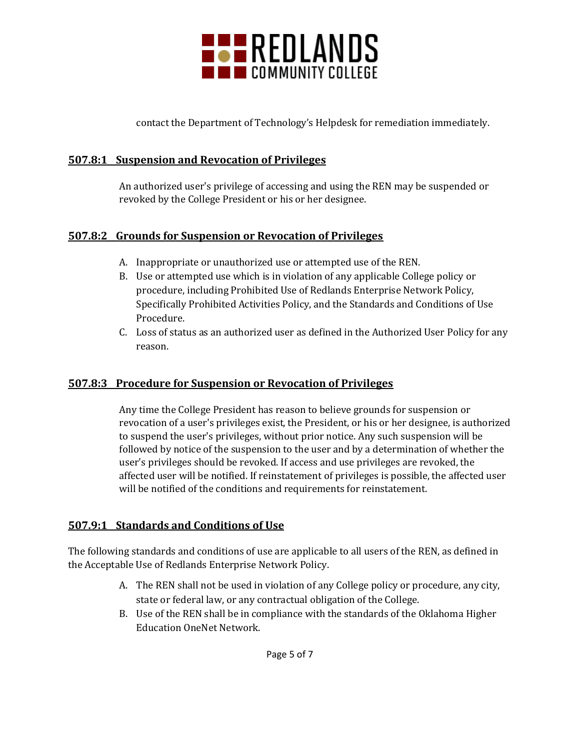

contact the Department of Technology's Helpdesk for remediation immediately.

### **507.8:1 Suspension and Revocation of Privileges**

An authorized user's privilege of accessing and using the REN may be suspended or revoked by the College President or his or her designee.

## **507.8:2 Grounds for Suspension or Revocation of Privileges**

- A. Inappropriate or unauthorized use or attempted use of the REN.
- B. Use or attempted use which is in violation of any applicable College policy or procedure, including Prohibited Use of Redlands Enterprise Network Policy, Specifically Prohibited Activities Policy, and the Standards and Conditions of Use Procedure.
- C. Loss of status as an authorized user as defined in the Authorized User Policy for any reason.

### **507.8:3 Procedure for Suspension or Revocation of Privileges**

Any time the College President has reason to believe grounds for suspension or revocation of a user's privileges exist, the President, or his or her designee, is authorized to suspend the user's privileges, without prior notice. Any such suspension will be followed by notice of the suspension to the user and by a determination of whether the user's privileges should be revoked. If access and use privileges are revoked, the affected user will be notified. If reinstatement of privileges is possible, the affected user will be notified of the conditions and requirements for reinstatement.

# **507.9:1 Standards and Conditions of Use**

The following standards and conditions of use are applicable to all users of the REN, as defined in the Acceptable Use of Redlands Enterprise Network Policy.

- A. The REN shall not be used in violation of any College policy or procedure, any city, state or federal law, or any contractual obligation of the College.
- B. Use of the REN shall be in compliance with the standards of the Oklahoma Higher Education OneNet Network.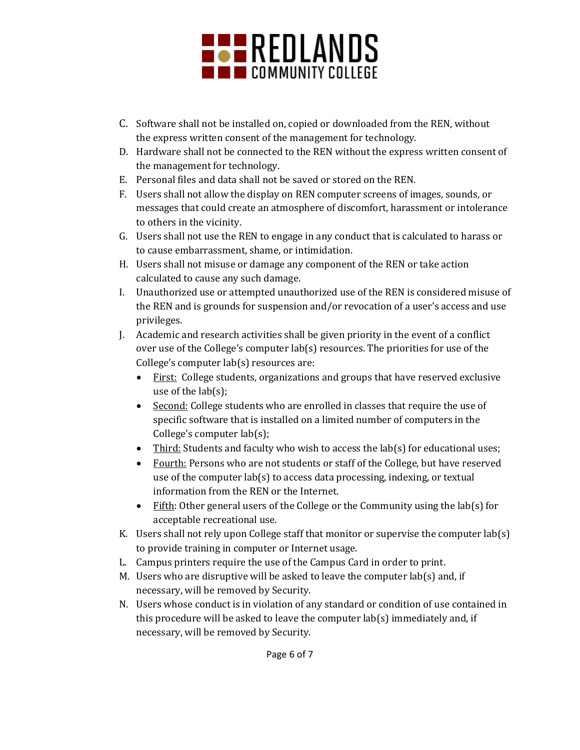

- C. Software shall not be installed on, copied or downloaded from the REN, without the express written consent of the management for technology.
- D. Hardware shall not be connected to the REN without the express written consent of the management for technology.
- E. Personal files and data shall not be saved or stored on the REN.
- F. Users shall not allow the display on REN computer screens of images, sounds, or messages that could create an atmosphere of discomfort, harassment or intolerance to others in the vicinity.
- G. Users shall not use the REN to engage in any conduct that is calculated to harass or to cause embarrassment, shame, or intimidation.
- H. Users shall not misuse or damage any component of the REN or take action calculated to cause any such damage.
- I. Unauthorized use or attempted unauthorized use of the REN is considered misuse of the REN and is grounds for suspension and/or revocation of a user's access and use privileges.
- J. Academic and research activities shall be given priority in the event of a conflict over use of the College's computer lab(s) resources. The priorities for use of the College's computer lab(s) resources are:
	- First: College students, organizations and groups that have reserved exclusive use of the lab(s);
	- Second: College students who are enrolled in classes that require the use of specific software that is installed on a limited number of computers in the College's computer lab(s);
	- Third: Students and faculty who wish to access the lab(s) for educational uses;
	- Fourth: Persons who are not students or staff of the College, but have reserved use of the computer lab(s) to access data processing, indexing, or textual information from the REN or the Internet.
	- Fifth: Other general users of the College or the Community using the lab(s) for acceptable recreational use.
- K. Users shall not rely upon College staff that monitor or supervise the computer lab(s) to provide training in computer or Internet usage.
- L. Campus printers require the use of the Campus Card in order to print.
- M. Users who are disruptive will be asked to leave the computer lab(s) and, if necessary, will be removed by Security.
- N. Users whose conduct is in violation of any standard or condition of use contained in this procedure will be asked to leave the computer lab(s) immediately and, if necessary, will be removed by Security.